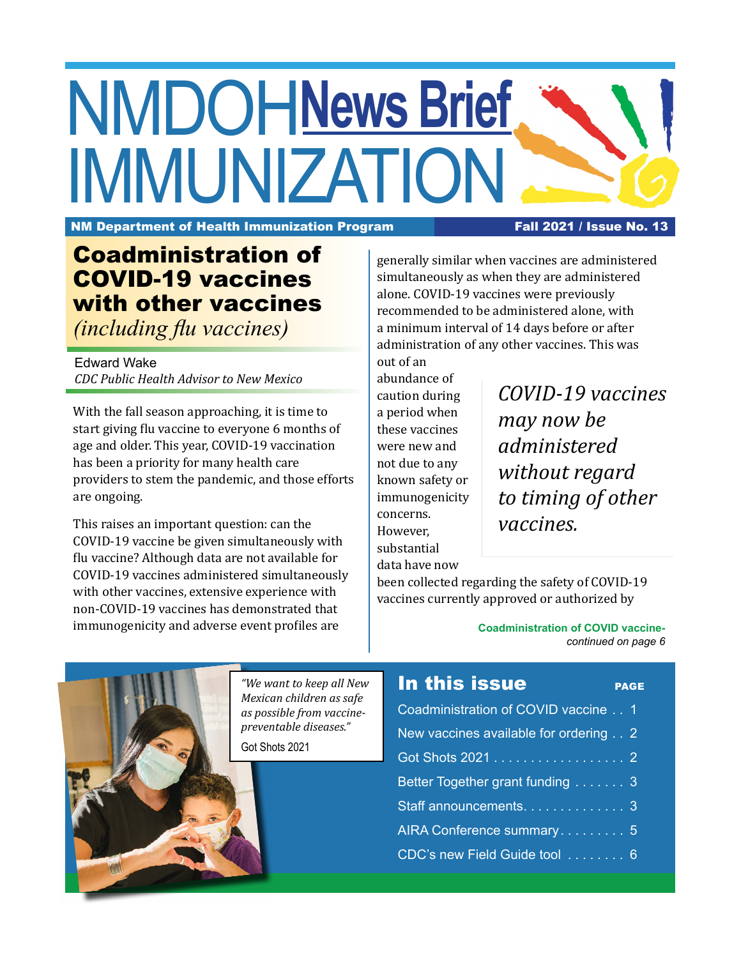# NMDOH **News Brief** IMMUNIZATION

NM Department of Health Immunization Program Fall 2021 / Issue No. 13

## Coadministration of COVID-19 vaccines with other vaccines

*(including flu vaccines)*

Edward Wake *CDC Public Health Advisor to New Mexico*

With the fall season approaching, it is time to start giving flu vaccine to everyone 6 months of age and older. This year, COVID-19 vaccination has been a priority for many health care providers to stem the pandemic, and those efforts are ongoing.

This raises an important question: can the COVID-19 vaccine be given simultaneously with flu vaccine? Although data are not available for COVID-19 vaccines administered simultaneously with other vaccines, extensive experience with non-COVID-19 vaccines has demonstrated that immunogenicity and adverse event profiles are

generally similar when vaccines are administered simultaneously as when they are administered alone. COVID-19 vaccines were previously recommended to be administered alone, with a minimum interval of 14 days before or after administration of any other vaccines. This was

out of an abundance of caution during a period when these vaccines were new and

not due to any known safety or immunogenicity

concerns. However, substantial data have now

*COVID-19 vaccines may now be administered without regard to timing of other vaccines.* 

been collected regarding the safety of COVID-19 vaccines currently approved or authorized by

In this issue PAGE Coadministration of COVID vaccine . . 1 New vaccines available for ordering . . 2 Got Shots 2021 . . . . . . . . . . . . . . . . . . 2 Better Together grant funding . . . . . . . 3 Staff announcements. . . . . . . . . . . . . 3 AIRA Conference summary . . . . . . . . 5 CDC's new Field Guide tool . . . . . . . . 6 *"We want to keep all New Mexican children as safe as possible from vaccinepreventable diseases."* Got Shots 2021

**Coadministration of COVID vaccine***continued on page 6*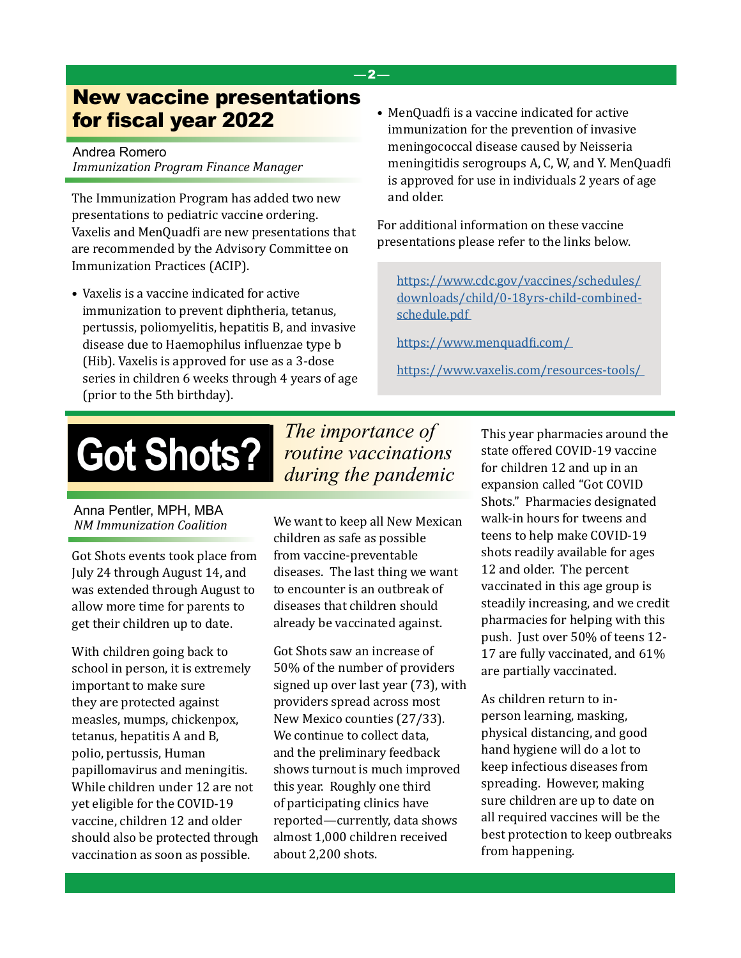### New vaccine presentations for fiscal year 2022

Andrea Romero *Immunization Program Finance Manager*

The Immunization Program has added two new presentations to pediatric vaccine ordering. Vaxelis and MenQuadfi are new presentations that are recommended by the Advisory Committee on Immunization Practices (ACIP).

- Vaxelis is a vaccine indicated for active immunization to prevent diphtheria, tetanus, pertussis, poliomyelitis, hepatitis B, and invasive disease due to Haemophilus influenzae type b (Hib). Vaxelis is approved for use as a 3-dose series in children 6 weeks through 4 years of age (prior to the 5th birthday).
- MenQuadfi is a vaccine indicated for active immunization for the prevention of invasive meningococcal disease caused by Neisseria meningitidis serogroups A, C, W, and Y. MenQuadfi is approved for use in individuals 2 years of age and older.

For additional information on these vaccine presentations please refer to the links below.

[https://www.cdc.gov/vaccines/schedules/](https://www.cdc.gov/vaccines/schedules/downloads/child/0-18yrs-child-combined-schedule.pdf ) [downloads/child/0-18yrs-child-combined](https://www.cdc.gov/vaccines/schedules/downloads/child/0-18yrs-child-combined-schedule.pdf )[schedule.pdf](https://www.cdc.gov/vaccines/schedules/downloads/child/0-18yrs-child-combined-schedule.pdf ) 

[https://www.menquadfi.com/](https://www.menquadfi.com/  ) 

[https://www.vaxelis.com/resources-tools/](https://www.vaxelis.com/resources-tools/  ) 

## **Got Shots?**

#### Anna Pentler, MPH, MBA *NM Immunization Coalition*

Got Shots events took place from July 24 through August 14, and was extended through August to allow more time for parents to get their children up to date.

With children going back to school in person, it is extremely important to make sure they are protected against measles, mumps, chickenpox, tetanus, hepatitis A and B, polio, pertussis, Human papillomavirus and meningitis. While children under 12 are not yet eligible for the COVID-19 vaccine, children 12 and older should also be protected through vaccination as soon as possible.

*The importance of routine vaccinations during the pandemic*

—2—

We want to keep all New Mexican children as safe as possible from vaccine-preventable diseases. The last thing we want to encounter is an outbreak of diseases that children should already be vaccinated against.

Got Shots saw an increase of 50% of the number of providers signed up over last year (73), with providers spread across most New Mexico counties (27/33). We continue to collect data, and the preliminary feedback shows turnout is much improved this year. Roughly one third of participating clinics have reported—currently, data shows almost 1,000 children received about 2,200 shots.

This year pharmacies around the state offered COVID-19 vaccine for children 12 and up in an expansion called "Got COVID Shots." Pharmacies designated walk-in hours for tweens and teens to help make COVID-19 shots readily available for ages 12 and older. The percent vaccinated in this age group is steadily increasing, and we credit pharmacies for helping with this push. Just over 50% of teens 12- 17 are fully vaccinated, and 61% are partially vaccinated.

As children return to inperson learning, masking, physical distancing, and good hand hygiene will do a lot to keep infectious diseases from spreading. However, making sure children are up to date on all required vaccines will be the best protection to keep outbreaks from happening.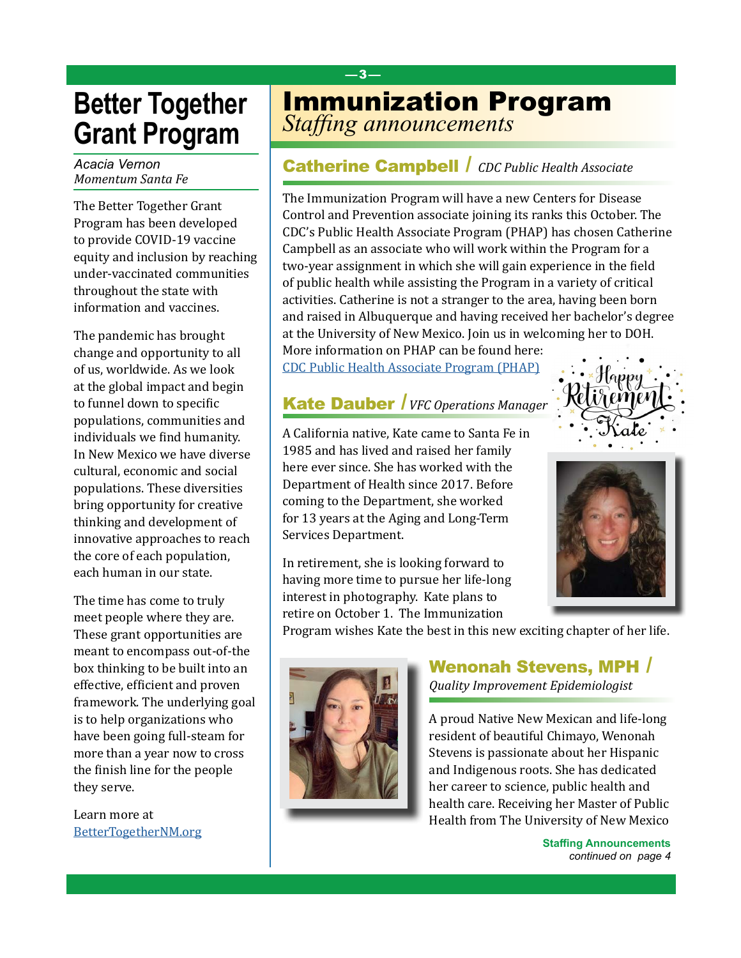## **Better Together Grant Program**

*Acacia Vernon Momentum Santa Fe*

The Better Together Grant Program has been developed to provide COVID-19 vaccine equity and inclusion by reaching under-vaccinated communities throughout the state with information and vaccines.

The pandemic has brought change and opportunity to all of us, worldwide. As we look at the global impact and begin to funnel down to specific populations, communities and individuals we find humanity. In New Mexico we have diverse cultural, economic and social populations. These diversities bring opportunity for creative thinking and development of innovative approaches to reach the core of each population, each human in our state.

The time has come to truly meet people where they are. These grant opportunities are meant to encompass out-of-the box thinking to be built into an effective, efficient and proven framework. The underlying goal is to help organizations who have been going full-steam for more than a year now to cross the finish line for the people they serve.

Learn more at [BetterTogetherNM.org](https://www.momentumsantafe.com/better-together)

## *Staffing announcements* Immunization Program

—3—

#### Catherine Campbell / *CDC Public Health Associate*

The Immunization Program will have a new Centers for Disease Control and Prevention associate joining its ranks this October. The CDC's Public Health Associate Program (PHAP) has chosen Catherine Campbell as an associate who will work within the Program for a two-year assignment in which she will gain experience in the field of public health while assisting the Program in a variety of critical activities. Catherine is not a stranger to the area, having been born and raised in Albuquerque and having received her bachelor's degree at the University of New Mexico. Join us in welcoming her to DOH. More information on PHAP can be found here:

[CDC Public Health Associate Program \(PHAP\)](https://www.cdc.gov/phap/index.html)

### Kate Dauber /*VFC Operations Manager*

A California native, Kate came to Santa Fe in 1985 and has lived and raised her family here ever since. She has worked with the Department of Health since 2017. Before coming to the Department, she worked for 13 years at the Aging and Long-Term Services Department.

In retirement, she is looking forward to having more time to pursue her life-long interest in photography. Kate plans to retire on October 1. The Immunization

Program wishes Kate the best in this new exciting chapter of her life.



#### Wenonah Stevens, MPH / *Quality Improvement Epidemiologist*

A proud Native New Mexican and life-long resident of beautiful Chimayo, Wenonah Stevens is passionate about her Hispanic and Indigenous roots. She has dedicated her career to science, public health and health care. Receiving her Master of Public Health from The University of New Mexico

> **Staffing Announcements** *continued on page 4*



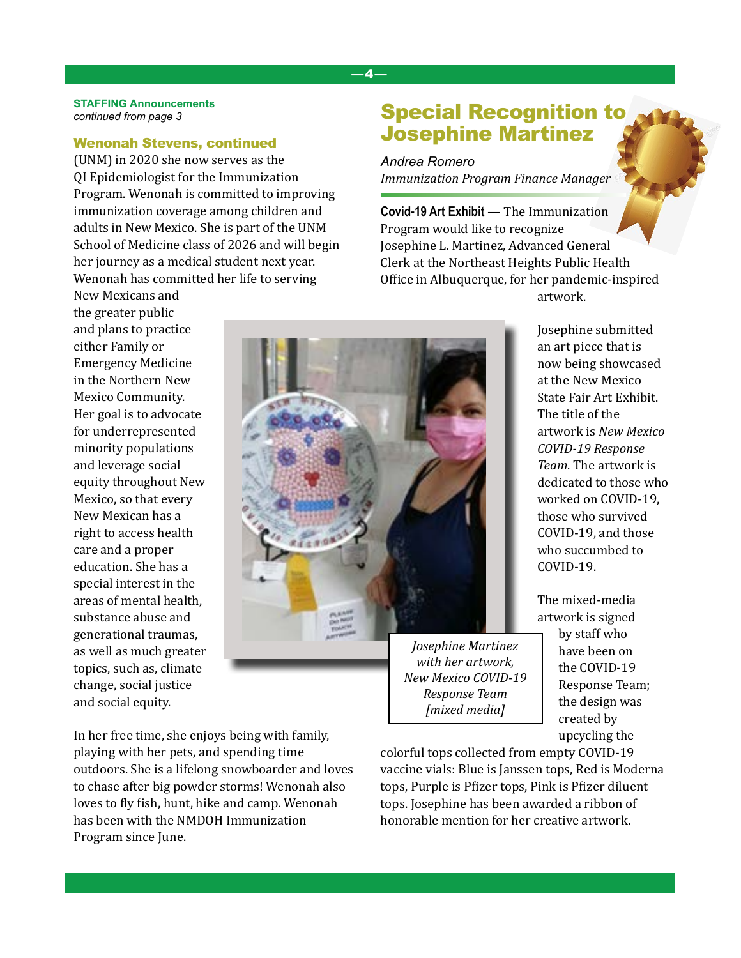#### —4—

#### **STAFFING Announcements** *continued from page 3*

#### Wenonah Stevens, continued

(UNM) in 2020 she now serves as the QI Epidemiologist for the Immunization Program. Wenonah is committed to improving immunization coverage among children and adults in New Mexico. She is part of the UNM School of Medicine class of 2026 and will begin her journey as a medical student next year. Wenonah has committed her life to serving

New Mexicans and the greater public and plans to practice either Family or Emergency Medicine in the Northern New Mexico Community. Her goal is to advocate for underrepresented minority populations and leverage social equity throughout New Mexico, so that every New Mexican has a right to access health care and a proper education. She has a special interest in the areas of mental health, substance abuse and generational traumas, as well as much greater topics, such as, climate change, social justice and social equity.

Special Recognition to Josephine Martinez

*Andrea Romero Immunization Program Finance Manager*

**Covid-19 Art Exhibit** — The Immunization Program would like to recognize Josephine L. Martinez, Advanced General Clerk at the Northeast Heights Public Health Office in Albuquerque, for her pandemic-inspired artwork.



Josephine submitted an art piece that is now being showcased at the New Mexico State Fair Art Exhibit. The title of the artwork is *New Mexico COVID-19 Response Team*. The artwork is dedicated to those who worked on COVID-19, those who survived COVID-19, and those who succumbed to COVID-19.

The mixed-media artwork is signed by staff who have been on the COVID-19 Response Team; the design was created by upcycling the

In her free time, she enjoys being with family, playing with her pets, and spending time outdoors. She is a lifelong snowboarder and loves to chase after big powder storms! Wenonah also loves to fly fish, hunt, hike and camp. Wenonah has been with the NMDOH Immunization Program since June.

colorful tops collected from empty COVID-19 vaccine vials: Blue is Janssen tops, Red is Moderna tops, Purple is Pfizer tops, Pink is Pfizer diluent tops. Josephine has been awarded a ribbon of honorable mention for her creative artwork.

*Response Team [mixed media]*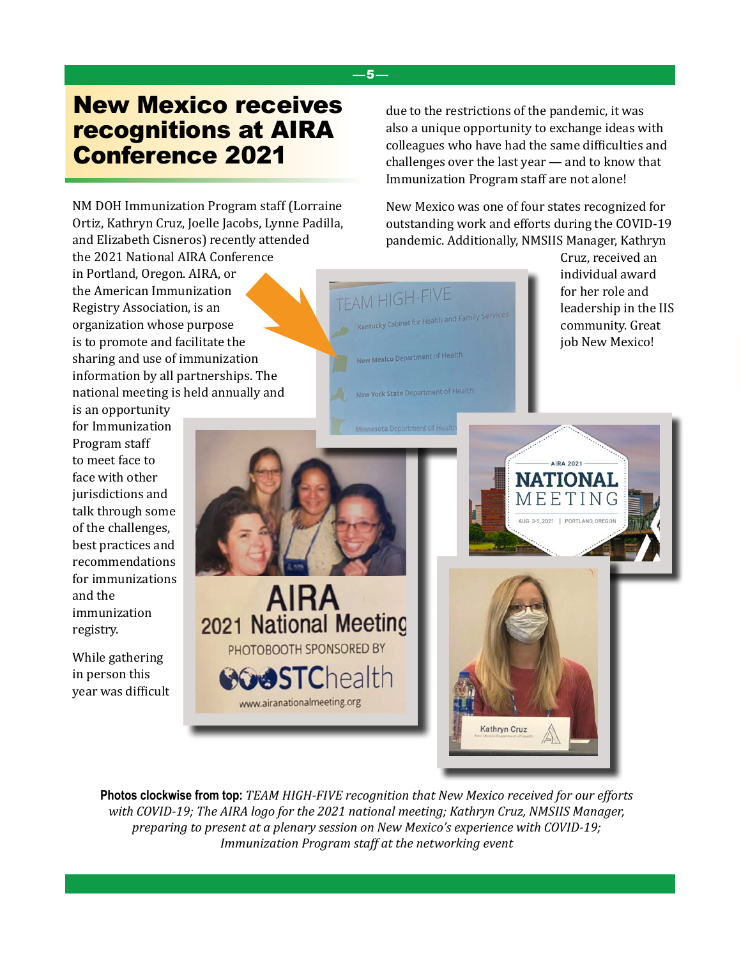## New Mexico receives recognitions at AIRA Conference 2021

NM DOH Immunization Program staff (Lorraine Ortiz, Kathryn Cruz, Joelle Jacobs, Lynne Padilla, and Elizabeth Cisneros) recently attended the 2021 National AIRA Conference in Portland, Oregon. AIRA, or the American Immunization Registry Association, is an organization whose purpose is to promote and facilitate the sharing and use of immunization information by all partnerships. The national meeting is held annually and

is an opportunity for Immunization Program staff to meet face to face with other jurisdictions and talk through some of the challenges, best practices and recommendations for immunizations and the immunization registry.

While gathering in person this year was difficult due to the restrictions of the pandemic, it was also a unique opportunity to exchange ideas with colleagues who have had the same difficulties and challenges over the last year — and to know that Immunization Program staff are not alone!

New Mexico was one of four states recognized for outstanding work and efforts during the COVID-19 pandemic. Additionally, NMSIIS Manager, Kathryn

> Cruz, received an individual award



**Photos clockwise from top:** *TEAM HIGH-FIVE recognition that New Mexico received for our efforts with COVID-19; The AIRA logo for the 2021 national meeting; Kathryn Cruz, NMSIIS Manager, preparing to present at a plenary session on New Mexico's experience with COVID-19; Immunization Program staff at the networking event*